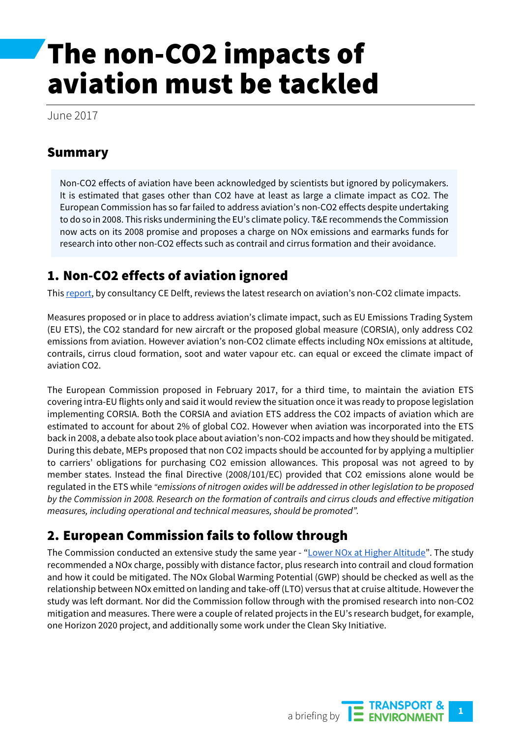# The non-CO2 impacts of aviation must be tackled

June 2017

#### Summary

Non-CO2 effects of aviation have been acknowledged by scientists but ignored by policymakers. It is estimated that gases other than CO2 have at least as large a climate impact as CO2. The European Commission has so far failed to address aviation's non-CO2 effects despite undertaking to do so in 2008. This risks undermining the EU's climate policy. T&E recommends the Commission now acts on its 2008 promise and proposes a charge on NOx emissions and earmarks funds for research into other non-CO2 effects such as contrail and cirrus formation and their avoidance.

## 1. Non-CO2 effects of aviation ignored

This [report,](http://www.cedelft.eu/publicatie/towards_addressing_aviations_non-co2_climate_impacts/1961) by consultancy CE Delft, reviews the latest research on aviation's non-CO2 climate impacts.

Measures proposed or in place to address aviation's climate impact, such as EU Emissions Trading System (EU ETS), the CO2 standard for new aircraft or the proposed global measure (CORSIA), only address CO2 emissions from aviation. However aviation's non-CO2 climate effects including NOx emissions at altitude, contrails, cirrus cloud formation, soot and water vapour etc. can equal or exceed the climate impact of aviation CO2.

The European Commission proposed in February 2017, for a third time, to maintain the aviation ETS covering intra-EU flights only and said it would review the situation once it was ready to propose legislation implementing CORSIA. Both the CORSIA and aviation ETS address the CO2 impacts of aviation which are estimated to account for about 2% of global CO2. However when aviation was incorporated into the ETS back in 2008, a debate also took place about aviation's non-CO2 impacts and how they should be mitigated. During this debate, MEPs proposed that non CO2 impacts should be accounted for by applying a multiplier to carriers' obligations for purchasing CO2 emission allowances. This proposal was not agreed to by member states. Instead the final Directive (2008/101/EC) provided that CO2 emissions alone would be regulated in the ETS while *"emissions of nitrogen oxides will be addressed in other legislation to be proposed by the Commission in 2008. Research on the formation of contrails and cirrus clouds and effective mitigation measures, including operational and technical measures, should be promoted".*

## 2. European Commission fails to follow through

The Commission conducted an extensive study the same year - ["Lower NOx at Higher Altitude"](http://www.cedelft.eu/publicatie/lower_nox_at_higher_altitudes/916). The study recommended a NOx charge, possibly with distance factor, plus research into contrail and cloud formation and how it could be mitigated. The NOx Global Warming Potential (GWP) should be checked as well as the relationship between NOx emitted on landing and take-off (LTO) versus that at cruise altitude. However the study was left dormant. Nor did the Commission follow through with the promised research into non-CO2 mitigation and measures. There were a couple of related projects in the EU's research budget, for example, one Horizon 2020 project, and additionally some work under the Clean Sky Initiative.